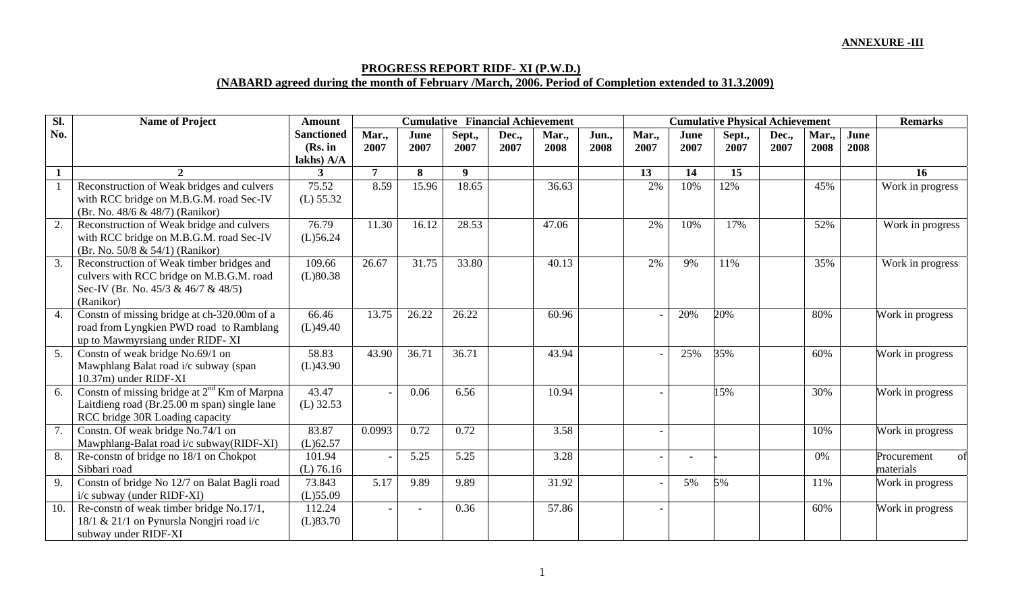## **ANNEXURE -III**

## **PROGRESS REPORT RIDF- XI (P.W.D.) (NABARD agreed during the month of February /March, 2006. Period of Completion extended to 31.3.2009)**

| Sl. | <b>Name of Project</b>                            | <b>Amount</b>              | <b>Cumulative Financial Achievement</b> |                |                |       |       |       |       | <b>Cumulative Physical Achievement</b> |        |       |       |      |                   |  |
|-----|---------------------------------------------------|----------------------------|-----------------------------------------|----------------|----------------|-------|-------|-------|-------|----------------------------------------|--------|-------|-------|------|-------------------|--|
| No. |                                                   | <b>Sanctioned</b>          | Mar.,                                   | June           | Sept.,         | Dec., | Mar., | Jun., | Mar., | June                                   | Sept., | Dec., | Mar., | June |                   |  |
|     |                                                   | (Rs. in                    | 2007                                    | 2007           | 2007           | 2007  | 2008  | 2008  | 2007  | 2007                                   | 2007   | 2007  | 2008  | 2008 |                   |  |
|     | $\mathfrak{D}$                                    | lakhs) A/A<br>$\mathbf{3}$ | 7                                       | 8              | 9 <sup>°</sup> |       |       |       | 13    | 14                                     | 15     |       |       |      | 16                |  |
|     |                                                   |                            |                                         |                |                |       |       |       |       |                                        |        |       |       |      |                   |  |
|     | Reconstruction of Weak bridges and culvers        | 75.52                      | 8.59                                    | 15.96          | 18.65          |       | 36.63 |       | 2%    | 10%                                    | 12%    |       | 45%   |      | Work in progress  |  |
|     | with RCC bridge on M.B.G.M. road Sec-IV           | (L) 55.32                  |                                         |                |                |       |       |       |       |                                        |        |       |       |      |                   |  |
|     | (Br. No. 48/6 & 48/7) (Ranikor)                   |                            |                                         |                |                |       |       |       |       |                                        |        |       |       |      |                   |  |
| 2.  | Reconstruction of Weak bridge and culvers         | 76.79                      | 11.30                                   | 16.12          | 28.53          |       | 47.06 |       | 2%    | 10%                                    | 17%    |       | 52%   |      | Work in progress  |  |
|     | with RCC bridge on M.B.G.M. road Sec-IV           | $(L)$ 56.24                |                                         |                |                |       |       |       |       |                                        |        |       |       |      |                   |  |
|     | (Br. No. 50/8 & 54/1) (Ranikor)                   |                            |                                         |                |                |       |       |       |       |                                        |        |       |       |      |                   |  |
| 3.  | Reconstruction of Weak timber bridges and         | 109.66                     | 26.67                                   | 31.75          | 33.80          |       | 40.13 |       | 2%    | 9%                                     | 11%    |       | 35%   |      | Work in progress  |  |
|     | culvers with RCC bridge on M.B.G.M. road          | (L)80.38                   |                                         |                |                |       |       |       |       |                                        |        |       |       |      |                   |  |
|     | Sec-IV (Br. No. $45/3$ & $46/7$ & $48/5$ )        |                            |                                         |                |                |       |       |       |       |                                        |        |       |       |      |                   |  |
|     | (Ranikor)                                         |                            |                                         |                |                |       |       |       |       |                                        |        |       |       |      |                   |  |
| 4.  | Constn of missing bridge at ch-320.00m of a       | 66.46                      | 13.75                                   | 26.22          | 26.22          |       | 60.96 |       |       | 20%                                    | 20%    |       | 80%   |      | Work in progress  |  |
|     | road from Lyngkien PWD road to Ramblang           | (L)49.40                   |                                         |                |                |       |       |       |       |                                        |        |       |       |      |                   |  |
|     | up to Mawmyrsiang under RIDF-XI                   |                            |                                         |                |                |       |       |       |       |                                        |        |       |       |      |                   |  |
| 5.  | Constn of weak bridge No.69/1 on                  | 58.83                      | 43.90                                   | 36.71          | 36.71          |       | 43.94 |       |       | 25%                                    | 35%    |       | 60%   |      | Work in progress  |  |
|     | Mawphlang Balat road i/c subway (span             | (L)43.90                   |                                         |                |                |       |       |       |       |                                        |        |       |       |      |                   |  |
|     | 10.37m) under RIDF-XI                             |                            |                                         |                |                |       |       |       |       |                                        |        |       |       |      |                   |  |
| 6.  | Constn of missing bridge at $2^{nd}$ Km of Marpna | 43.47                      |                                         | 0.06           | 6.56           |       | 10.94 |       |       |                                        | 15%    |       | 30%   |      | Work in progress  |  |
|     | Laitdieng road (Br.25.00 m span) single lane      | $(L)$ 32.53                |                                         |                |                |       |       |       |       |                                        |        |       |       |      |                   |  |
|     | RCC bridge 30R Loading capacity                   |                            |                                         |                |                |       |       |       |       |                                        |        |       |       |      |                   |  |
| 7.  | Constn. Of weak bridge No.74/1 on                 | 83.87                      | 0.0993                                  | 0.72           | 0.72           |       | 3.58  |       |       |                                        |        |       | 10%   |      | Work in progress  |  |
|     | Mawphlang-Balat road i/c subway(RIDF-XI)          | (L)62.57                   |                                         |                |                |       |       |       |       |                                        |        |       |       |      |                   |  |
| 8.  | Re-constn of bridge no 18/1 on Chokpot            | 101.94                     |                                         | 5.25           | 5.25           |       | 3.28  |       |       | $\overline{\phantom{a}}$               |        |       | 0%    |      | Procurement<br>Ωt |  |
|     | Sibbari road                                      | $(L)$ 76.16                |                                         |                |                |       |       |       |       |                                        |        |       |       |      | materials         |  |
| 9.  | Constn of bridge No 12/7 on Balat Bagli road      | 73.843                     | 5.17                                    | 9.89           | 9.89           |       | 31.92 |       |       | 5%                                     | 5%     |       | 11%   |      | Work in progress  |  |
|     | i/c subway (under RIDF-XI)                        | $(L)$ 55.09                |                                         |                |                |       |       |       |       |                                        |        |       |       |      |                   |  |
| 10. | Re-constn of weak timber bridge No.17/1,          | 112.24                     |                                         | $\overline{a}$ | 0.36           |       | 57.86 |       |       |                                        |        |       | 60%   |      | Work in progress  |  |
|     | 18/1 & 21/1 on Pynursla Nongjri road i/c          | (L)83.70                   |                                         |                |                |       |       |       |       |                                        |        |       |       |      |                   |  |
|     | subway under RIDF-XI                              |                            |                                         |                |                |       |       |       |       |                                        |        |       |       |      |                   |  |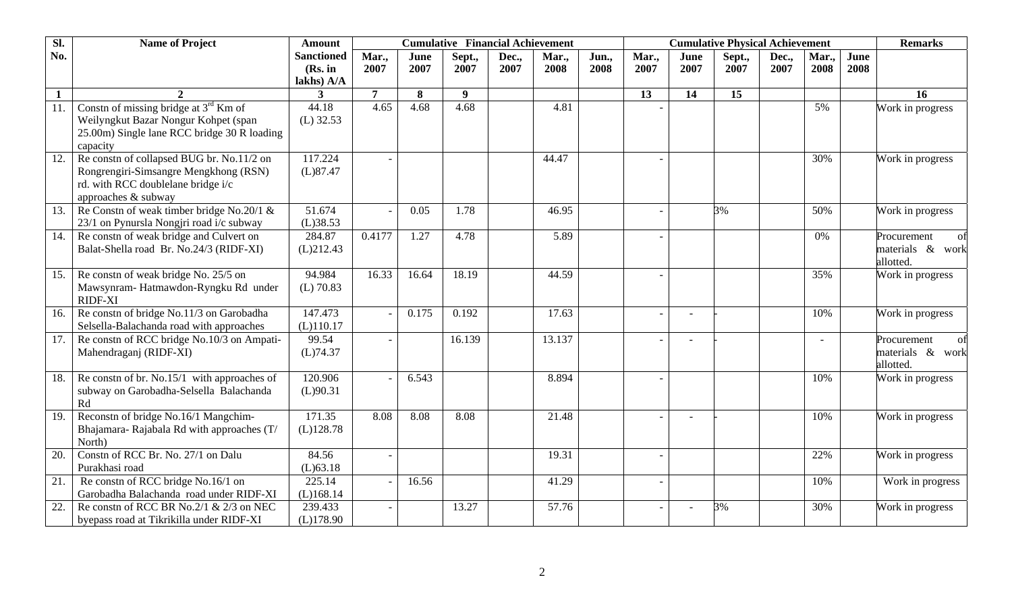| $\overline{sl.}$ | <b>Name of Project</b>                                                                                                                          | <b>Amount</b>                              | <b>Cumulative Financial Achievement</b> |              |                |               |               |               | <b>Cumulative Physical Achievement</b> | <b>Remarks</b> |                |               |              |              |                                                    |
|------------------|-------------------------------------------------------------------------------------------------------------------------------------------------|--------------------------------------------|-----------------------------------------|--------------|----------------|---------------|---------------|---------------|----------------------------------------|----------------|----------------|---------------|--------------|--------------|----------------------------------------------------|
| No.              |                                                                                                                                                 | <b>Sanctioned</b><br>(Rs. in<br>lakhs) A/A | Mar.,<br>2007                           | June<br>2007 | Sept.,<br>2007 | Dec.,<br>2007 | Mar.,<br>2008 | Jun.,<br>2008 | Mar.,<br>2007                          | June<br>2007   | Sept.,<br>2007 | Dec.,<br>2007 | Mar.<br>2008 | June<br>2008 |                                                    |
| $\mathbf{1}$     |                                                                                                                                                 | 3                                          | $\overline{7}$                          | 8            | 9 <sup>°</sup> |               |               |               | 13                                     | 14             | 15             |               |              |              | 16                                                 |
| 11.              | Constn of missing bridge at 3rd Km of<br>Weilyngkut Bazar Nongur Kohpet (span<br>25.00m) Single lane RCC bridge 30 R loading<br>capacity        | 44.18<br>$(L)$ 32.53                       | 4.65                                    | 4.68         | 4.68           |               | 4.81          |               |                                        |                |                |               | 5%           |              | Work in progress                                   |
| 12.              | Re constn of collapsed BUG br. No.11/2 on<br>Rongrengiri-Simsangre Mengkhong (RSN)<br>rd. with RCC doublelane bridge i/c<br>approaches & subway | 117.224<br>(L)87.47                        |                                         |              |                |               | 44.47         |               |                                        |                |                |               | 30%          |              | Work in progress                                   |
| 13.              | Re Constn of weak timber bridge No.20/1 $\&$<br>23/1 on Pynursla Nongjri road i/c subway                                                        | 51.674<br>(L)38.53                         |                                         | 0.05         | 1.78           |               | 46.95         |               |                                        |                | 3%             |               | 50%          |              | Work in progress                                   |
| 14.              | Re constn of weak bridge and Culvert on<br>Balat-Shella road Br. No.24/3 (RIDF-XI)                                                              | 284.87<br>(L)212.43                        | 0.4177                                  | 1.27         | 4.78           |               | 5.89          |               |                                        |                |                |               | 0%           |              | Procurement<br>of<br>materials & work<br>allotted. |
| 15.              | Re constn of weak bridge No. 25/5 on<br>Mawsynram- Hatmawdon-Ryngku Rd under<br>RIDF-XI                                                         | 94.984<br>$(L)$ 70.83                      | 16.33                                   | 16.64        | 18.19          |               | 44.59         |               |                                        |                |                |               | 35%          |              | Work in progress                                   |
| 16.              | Re constn of bridge No.11/3 on Garobadha<br>Selsella-Balachanda road with approaches                                                            | 147.473<br>(L)110.17                       |                                         | 0.175        | 0.192          |               | 17.63         |               |                                        |                |                |               | 10%          |              | Work in progress                                   |
| 17.              | Re constn of RCC bridge No.10/3 on Ampati-<br>Mahendraganj (RIDF-XI)                                                                            | 99.54<br>(L)74.37                          |                                         |              | 16.139         |               | 13.137        |               |                                        |                |                |               |              |              | Procurement<br>of<br>materials & work<br>allotted. |
| 18.              | Re constn of br. No.15/1 with approaches of<br>subway on Garobadha-Selsella Balachanda<br>Rd                                                    | 120.906<br>(L)90.31                        |                                         | 6.543        |                |               | 8.894         |               |                                        |                |                |               | 10%          |              | Work in progress                                   |
| 19.              | Reconstn of bridge No.16/1 Mangchim-<br>Bhajamara-Rajabala Rd with approaches (T/<br>North)                                                     | 171.35<br>(L)128.78                        | 8.08                                    | 8.08         | 8.08           |               | 21.48         |               |                                        |                |                |               | 10%          |              | Work in progress                                   |
| 20.              | Constn of RCC Br. No. 27/1 on Dalu<br>Purakhasi road                                                                                            | 84.56<br>$(L)$ 63.18                       |                                         |              |                |               | 19.31         |               |                                        |                |                |               | 22%          |              | Work in progress                                   |
| 21.              | Re constn of RCC bridge No.16/1 on<br>Garobadha Balachanda road under RIDF-XI                                                                   | 225.14<br>(L)168.14                        |                                         | 16.56        |                |               | 41.29         |               |                                        |                |                |               | 10%          |              | Work in progress                                   |
| 22.              | Re constn of RCC BR No.2/1 & 2/3 on NEC<br>byepass road at Tikrikilla under RIDF-XI                                                             | 239.433<br>(L)178.90                       |                                         |              | 13.27          |               | 57.76         |               |                                        |                | 3%             |               | 30%          |              | Work in progress                                   |